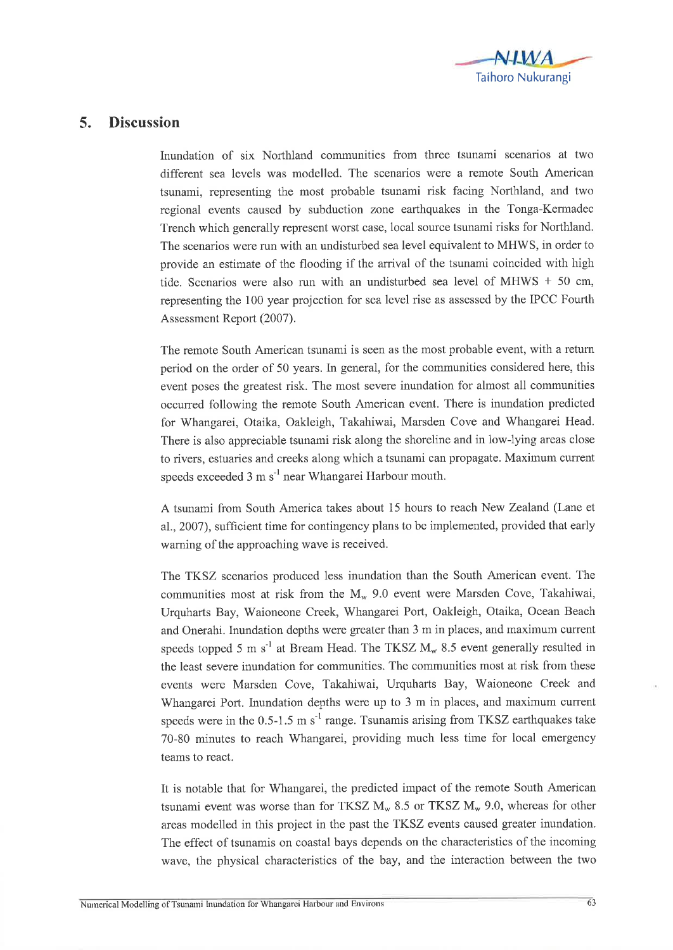

## 5. Discussion

Inundation of six Northland communities from three tsunami scenarios at two different sea levels was modelled. The scenarios were a remote South American tsunami, representing the most probable tsunami risk facing Northland, and two regional events caused by subduction zone earthquakes in the Tonga-Kermadec Trench which generally represent worst case, local source tsunami risks for Northland. The scenarios were run with an undisturbed sea level equivalent to MHWS, in order to provide an estimate of the flooding if the arrival of the tsunami coincided with high tide. Scenarios were also run with an undisturbed sea level of MHWS  $+50$  cm, representing the 100 year projection for sea level rise as assessed by the IPCC Fourth Assessment Report (2007).

The remote South American tsunami is seen as the most probable event, with a return period on the order of 50 years. In general, for the communities considered here, this event poses the greatest risk. The most severe inundation for almost all communities occurred following the remote South American event. There is inundation predicted for Whangarei, Otaika, Oakleigh, Takahiwai, Marsden Cove and Whangarei Head. There is also appreciable tsunami risk along the shoreline and in low-lying areas close to rivers, estuaries and creeks along which a tsunami can propagate. Maximum current speeds exceeded 3 m s<sup>-1</sup> near Whangarei Harbour mouth.

A tsunami from South America takes about 15 hours to reach New Zealand (Lane et aL.,2007), sufhcient time for contingency plans to be implemented, provided that early warning of the approaching wave is received.

The TKSZ scenarios produced less inundation than the South American event. The communities most at risk from the  $M_{w}$  9.0 event were Marsden Cove, Takahiwai, Urquharts Bay, Waioneone Creek, Whangarei Port, Oakleigh, Otaika, Ocean Beach and Onerahi. Inundation depths were greater than 3 m in places, and maximum current speeds topped 5 m  $s^{-1}$  at Bream Head. The TKSZ  $M_w$  8.5 event generally resulted in the least severe inundation for communities. The communities most at risk from these events were Marsden Cove, Takahiwai, Urquharts Bay, Waioneone Creek and Whangarei Port. Inundation depths were up to 3 m in places, and maximum current speeds were in the  $0.5$ -1.5 m s<sup>-1</sup> range. Tsunamis arising from TKSZ earthquakes take 70-80 minutes to reach Whangarei, providing much less time for local emergency teams to react.

It is notable that for Whangarei, the predicted impact of the remote South American tsunami event was worse than for TKSZ  $M_w$  8.5 or TKSZ  $M_w$  9.0, whereas for other areas modelled in this project in the past the TKSZ events caused greater inundation. The effect of tsunamis on coastal bays depends on the characteristics of the incoming wave, the physical characteristics of the bay, and the interaction between the two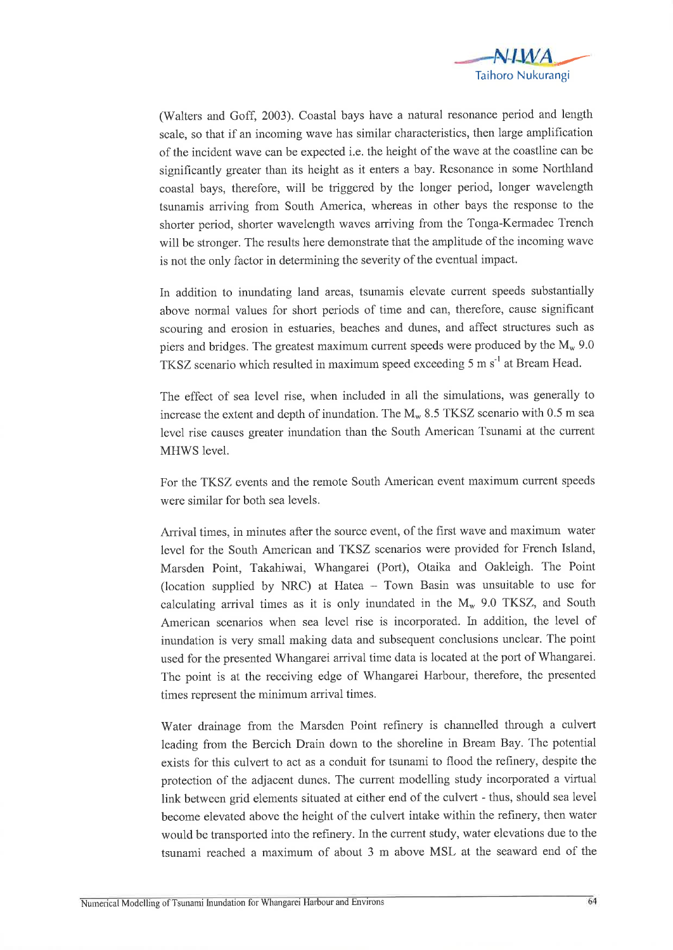

(Walters and Goff, 2003). Coastal bays have a natural resonance period and length scale, so that if an incoming wave has similar characteristics, then large amplification of the incident wave can be expected i.e. the height of the wave at the coastline can be significantly greater than its height as it enters a bay. Resonance in some Northland coastal bays, therefore, will be triggered by the longer period, longer wavelength tsunamis arriving from South America, whereas in other bays the response to the shorter period, shorter wavelength waves arriving from the Tonga-Kermadec Trench will be stronger. The results here demonstrate that the amplitude of the incoming wave is not the only factor in determining the severity of the eventual impact.

In addition to inundating land areas, tsunamis elevate current speeds substantially above normal values for short periods of time and can, therefore, cause significant scouring and erosion in estuaries, beaches and dunes, and affect structures such as piers and bridges. The greatest maximum current speeds were produced by the  $M_{w}$  9.0 TKSZ scenario which resulted in maximum speed exceeding 5 m  $s^{-1}$  at Bream Head.

The effect of sea level rise, when included in all the simulations, was generally to increase the extent and depth of inundation. The  $M_w$  8.5 TKSZ scenario with 0.5 m sea level rise causes greater inundation than the South American Tsunami at the current MHWS level.

For the TKSZ events and the remote South American event maximum current speeds were similar for both sea levels.

Arrival times, in minutes after the source event, of the first wave and maximum water level for the South American and TKSZ scenarios were provided for French Island, Marsden Point, Takahiwai, Whangarei (Port), Otaika and Oakleigh. The Point (location supplied by NRC) at Hatea  $-$  Town Basin was unsuitable to use for calculating arrival times as it is only inundated in the  $M_w$  9.0 TKSZ, and South American scenarios when sea level rise is incorporated. In addition, the level of inundation is very small making data and subsequent conclusions unclear. The point used for the presented Whangarei arrival time data is located at the porl of Whangarei. The point is at the receiving edge of Whangarei Harbour, therefore, the presented times represent the minimum arrival times.

Water drainage from the Marsden Point refinery is channelled through a culvert leading from the Bercich Drain down to the shoreline in Bream Bay. The potential exists for this culvert to act as a conduit for tsunami to flood the refinery, despite the protection of the adjacent dunes. The current modelling study incorporated a virtual link between grid elements situated at either end of the culvert - thus, should sea level become elevated above the height of the culvert intake within the refinery, then water would be transported into the refinery. In the current study, water elevations due to the tsunami reached a maximum of about 3 m above MSL at the seaward end of the